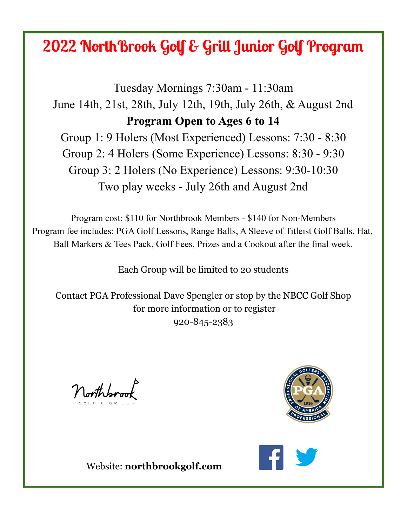## **2022 NorthBrook Golf & Grill Junior Golf Program**

Tuesday Mornings 7:30am - 11:30am June 14th, 21st, 28th, July 12th, 19th, July 26th, & August 2nd **Program Open to Ages 6 to 14** Group 1: 9 Holers (Most Experienced) Lessons: 7:30 - 8:30 Group 2: 4 Holers (Some Experience) Lessons: 8:30 - 9:30 Group 3: 2 Holers (No Experience) Lessons: 9:30-10:30 Two play weeks - July 26th and August 2nd

Program cost: \$110 for Northbrook Members - \$140 for Non-Members Program fee includes: PGA Golf Lessons, Range Balls, A Sleeve of Titleist Golf Balls, Hat, Ball Markers & Tees Pack, Golf Fees, Prizes and a Cookout after the final week.

Each Group will be limited to 20 students

Contact PGA Professional Dave Spengler or stop by the NBCC Golf Shop for more information or to register 920-845-2383

Northbroom





Website: **northbrookgolf.com**